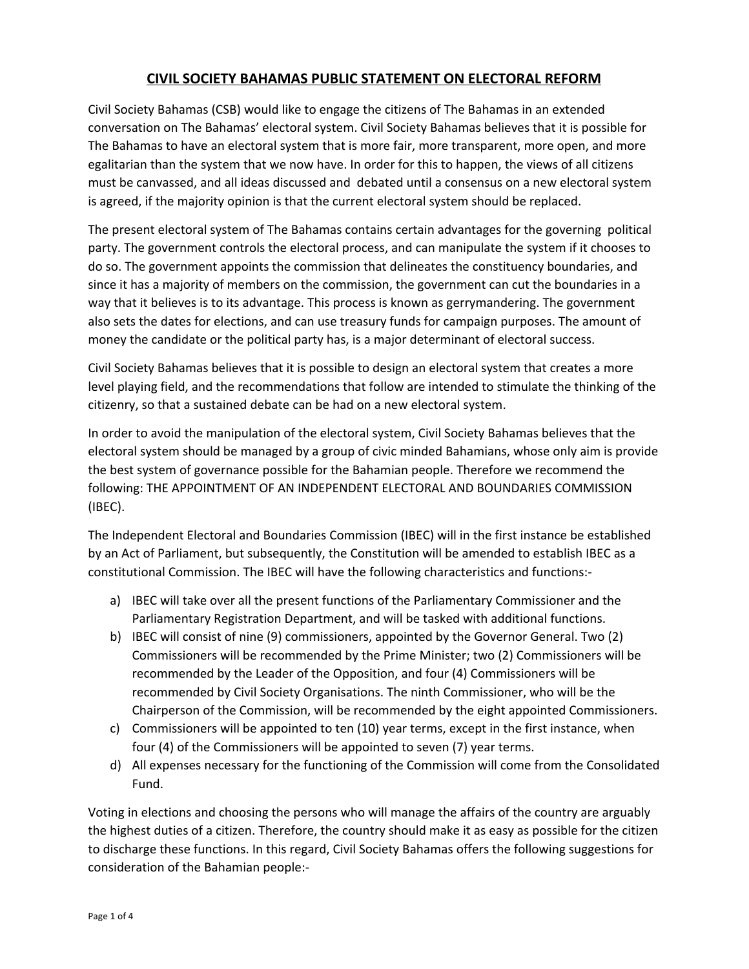## **CIVIL SOCIETY BAHAMAS PUBLIC STATEMENT ON ELECTORAL REFORM**

Civil Society Bahamas (CSB) would like to engage the citizens of The Bahamas in an extended conversation on The Bahamas' electoral system. Civil Society Bahamas believes that it is possible for The Bahamas to have an electoral system that is more fair, more transparent, more open, and more egalitarian than the system that we now have. In order for this to happen, the views of all citizens must be canvassed, and all ideas discussed and debated until a consensus on a new electoral system is agreed, if the majority opinion is that the current electoral system should be replaced.

The present electoral system of The Bahamas contains certain advantages for the governing political party. The government controls the electoral process, and can manipulate the system if it chooses to do so. The government appoints the commission that delineates the constituency boundaries, and since it has a majority of members on the commission, the government can cut the boundaries in a way that it believes is to its advantage. This process is known as gerrymandering. The government also sets the dates for elections, and can use treasury funds for campaign purposes. The amount of money the candidate or the political party has, is a major determinant of electoral success.

Civil Society Bahamas believes that it is possible to design an electoral system that creates a more level playing field, and the recommendations that follow are intended to stimulate the thinking of the citizenry, so that a sustained debate can be had on a new electoral system.

In order to avoid the manipulation of the electoral system, Civil Society Bahamas believes that the electoral system should be managed by a group of civic minded Bahamians, whose only aim is provide the best system of governance possible for the Bahamian people. Therefore we recommend the following: THE APPOINTMENT OF AN INDEPENDENT ELECTORAL AND BOUNDARIES COMMISSION (IBEC).

The Independent Electoral and Boundaries Commission (IBEC) will in the first instance be established by an Act of Parliament, but subsequently, the Constitution will be amended to establish IBEC as a constitutional Commission. The IBEC will have the following characteristics and functions:-

- a) IBEC will take over all the present functions of the Parliamentary Commissioner and the Parliamentary Registration Department, and will be tasked with additional functions.
- b) IBEC will consist of nine (9) commissioners, appointed by the Governor General. Two (2) Commissioners will be recommended by the Prime Minister; two (2) Commissioners will be recommended by the Leader of the Opposition, and four (4) Commissioners will be recommended by Civil Society Organisations. The ninth Commissioner, who will be the Chairperson of the Commission, will be recommended by the eight appointed Commissioners.
- c) Commissioners will be appointed to ten (10) year terms, except in the first instance, when four (4) of the Commissioners will be appointed to seven (7) year terms.
- d) All expenses necessary for the functioning of the Commission will come from the Consolidated Fund.

Voting in elections and choosing the persons who will manage the affairs of the country are arguably the highest duties of a citizen. Therefore, the country should make it as easy as possible for the citizen to discharge these functions. In this regard, Civil Society Bahamas offers the following suggestions for consideration of the Bahamian people:-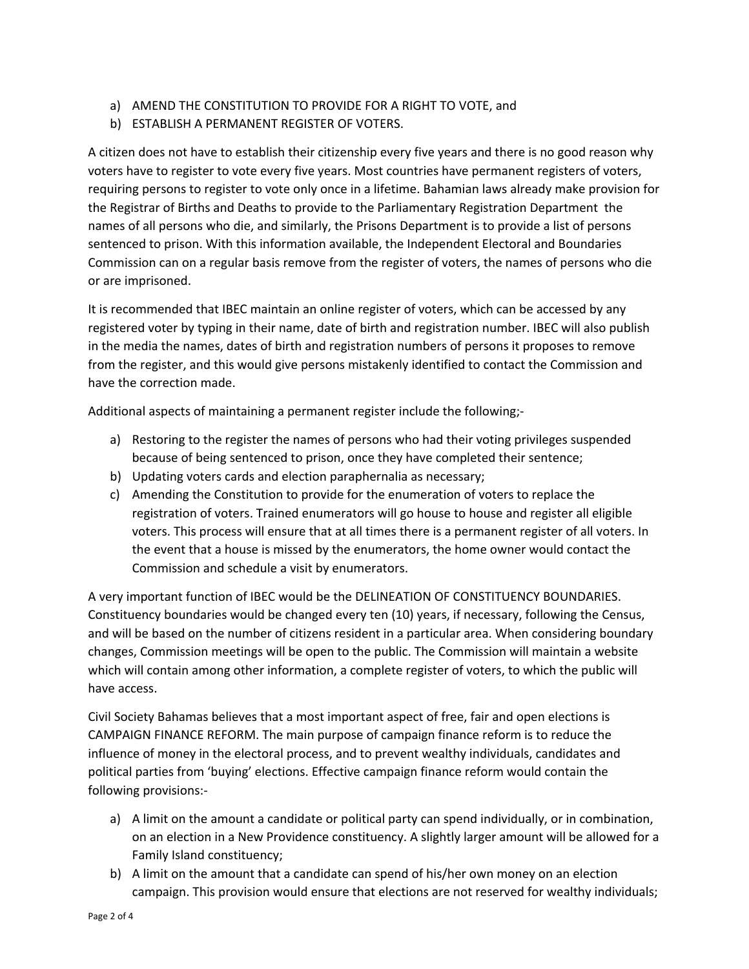- a) AMEND THE CONSTITUTION TO PROVIDE FOR A RIGHT TO VOTE, and
- b) ESTABLISH A PERMANENT REGISTER OF VOTERS.

A citizen does not have to establish their citizenship every five years and there is no good reason why voters have to register to vote every five years. Most countries have permanent registers of voters, requiring persons to register to vote only once in a lifetime. Bahamian laws already make provision for the Registrar of Births and Deaths to provide to the Parliamentary Registration Department the names of all persons who die, and similarly, the Prisons Department is to provide a list of persons sentenced to prison. With this information available, the Independent Electoral and Boundaries Commission can on a regular basis remove from the register of voters, the names of persons who die or are imprisoned.

It is recommended that IBEC maintain an online register of voters, which can be accessed by any registered voter by typing in their name, date of birth and registration number. IBEC will also publish in the media the names, dates of birth and registration numbers of persons it proposes to remove from the register, and this would give persons mistakenly identified to contact the Commission and have the correction made.

Additional aspects of maintaining a permanent register include the following;-

- a) Restoring to the register the names of persons who had their voting privileges suspended because of being sentenced to prison, once they have completed their sentence;
- b) Updating voters cards and election paraphernalia as necessary;
- c) Amending the Constitution to provide for the enumeration of voters to replace the registration of voters. Trained enumerators will go house to house and register all eligible voters. This process will ensure that at all times there is a permanent register of all voters. In the event that a house is missed by the enumerators, the home owner would contact the Commission and schedule a visit by enumerators.

A very important function of IBEC would be the DELINEATION OF CONSTITUENCY BOUNDARIES. Constituency boundaries would be changed every ten (10) years, if necessary, following the Census, and will be based on the number of citizens resident in a particular area. When considering boundary changes, Commission meetings will be open to the public. The Commission will maintain a website which will contain among other information, a complete register of voters, to which the public will have access.

Civil Society Bahamas believes that a most important aspect of free, fair and open elections is CAMPAIGN FINANCE REFORM. The main purpose of campaign finance reform is to reduce the influence of money in the electoral process, and to prevent wealthy individuals, candidates and political parties from 'buying' elections. Effective campaign finance reform would contain the following provisions:-

- a) A limit on the amount a candidate or political party can spend individually, or in combination, on an election in a New Providence constituency. A slightly larger amount will be allowed for a Family Island constituency;
- b) A limit on the amount that a candidate can spend of his/her own money on an election campaign. This provision would ensure that elections are not reserved for wealthy individuals;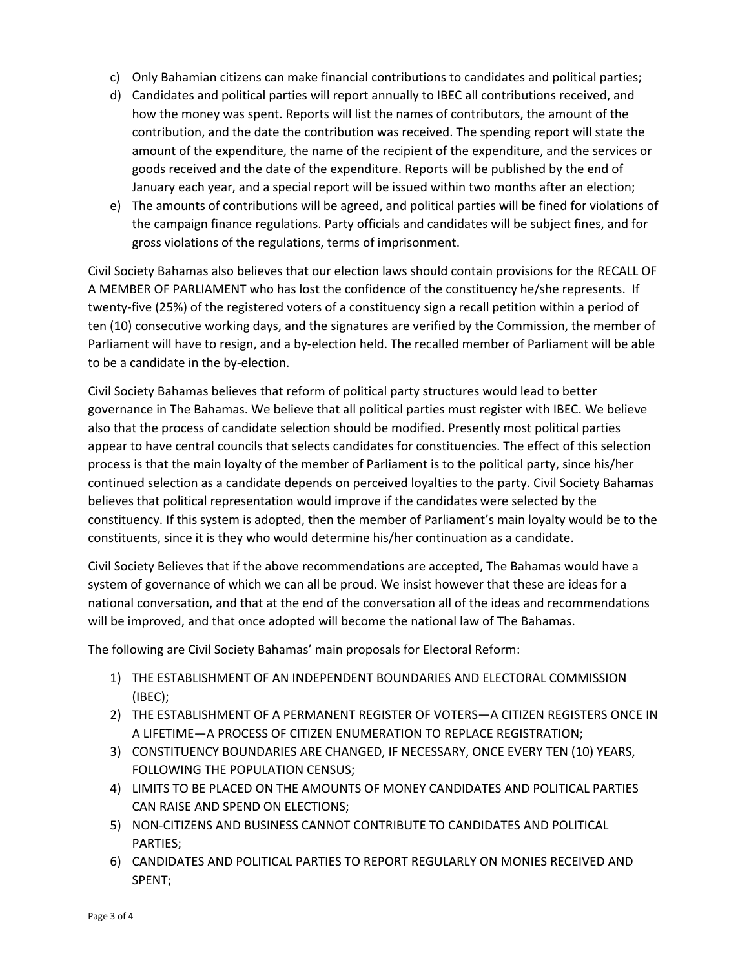- c) Only Bahamian citizens can make financial contributions to candidates and political parties;
- d) Candidates and political parties will report annually to IBEC all contributions received, and how the money was spent. Reports will list the names of contributors, the amount of the contribution, and the date the contribution was received. The spending report will state the amount of the expenditure, the name of the recipient of the expenditure, and the services or goods received and the date of the expenditure. Reports will be published by the end of January each year, and a special report will be issued within two months after an election;
- e) The amounts of contributions will be agreed, and political parties will be fined for violations of the campaign finance regulations. Party officials and candidates will be subject fines, and for gross violations of the regulations, terms of imprisonment.

Civil Society Bahamas also believes that our election laws should contain provisions for the RECALL OF A MEMBER OF PARLIAMENT who has lost the confidence of the constituency he/she represents. If twenty-five (25%) of the registered voters of a constituency sign a recall petition within a period of ten (10) consecutive working days, and the signatures are verified by the Commission, the member of Parliament will have to resign, and a by-election held. The recalled member of Parliament will be able to be a candidate in the by-election.

Civil Society Bahamas believes that reform of political party structures would lead to better governance in The Bahamas. We believe that all political parties must register with IBEC. We believe also that the process of candidate selection should be modified. Presently most political parties appear to have central councils that selects candidates for constituencies. The effect of this selection process is that the main loyalty of the member of Parliament is to the political party, since his/her continued selection as a candidate depends on perceived loyalties to the party. Civil Society Bahamas believes that political representation would improve if the candidates were selected by the constituency. If this system is adopted, then the member of Parliament's main loyalty would be to the constituents, since it is they who would determine his/her continuation as a candidate.

Civil Society Believes that if the above recommendations are accepted, The Bahamas would have a system of governance of which we can all be proud. We insist however that these are ideas for a national conversation, and that at the end of the conversation all of the ideas and recommendations will be improved, and that once adopted will become the national law of The Bahamas.

The following are Civil Society Bahamas' main proposals for Electoral Reform:

- 1) THE ESTABLISHMENT OF AN INDEPENDENT BOUNDARIES AND ELECTORAL COMMISSION (IBEC);
- 2) THE ESTABLISHMENT OF A PERMANENT REGISTER OF VOTERS—A CITIZEN REGISTERS ONCE IN A LIFETIME—A PROCESS OF CITIZEN ENUMERATION TO REPLACE REGISTRATION;
- 3) CONSTITUENCY BOUNDARIES ARE CHANGED, IF NECESSARY, ONCE EVERY TEN (10) YEARS, FOLLOWING THE POPULATION CENSUS;
- 4) LIMITS TO BE PLACED ON THE AMOUNTS OF MONEY CANDIDATES AND POLITICAL PARTIES CAN RAISE AND SPEND ON ELECTIONS;
- 5) NON-CITIZENS AND BUSINESS CANNOT CONTRIBUTE TO CANDIDATES AND POLITICAL PARTIES;
- 6) CANDIDATES AND POLITICAL PARTIES TO REPORT REGULARLY ON MONIES RECEIVED AND SPENT;